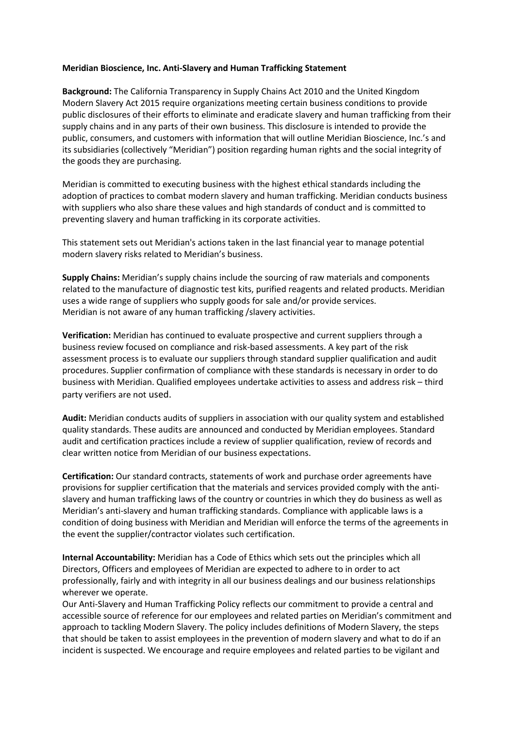## **Meridian Bioscience, Inc. Anti-Slavery and Human Trafficking Statement**

**Background:** The California Transparency in Supply Chains Act 2010 and the United Kingdom Modern Slavery Act 2015 require organizations meeting certain business conditions to provide public disclosures of their efforts to eliminate and eradicate slavery and human trafficking from their supply chains and in any parts of their own business. This disclosure is intended to provide the public, consumers, and customers with information that will outline Meridian Bioscience, Inc.'s and its subsidiaries (collectively "Meridian") position regarding human rights and the social integrity of the goods they are purchasing.

Meridian is committed to executing business with the highest ethical standards including the adoption of practices to combat modern slavery and human trafficking. Meridian conducts business with suppliers who also share these values and high standards of conduct and is committed to preventing slavery and human trafficking in its corporate activities.

This statement sets out Meridian's actions taken in the last financial year to manage potential modern slavery risks related to Meridian's business.

**Supply Chains:** Meridian's supply chains include the sourcing of raw materials and components related to the manufacture of diagnostic test kits, purified reagents and related products. Meridian uses a wide range of suppliers who supply goods for sale and/or provide services. Meridian is not aware of any human trafficking /slavery activities.

**Verification:** Meridian has continued to evaluate prospective and current suppliers through a business review focused on compliance and risk-based assessments. A key part of the risk assessment process is to evaluate our suppliers through standard supplier qualification and audit procedures. Supplier confirmation of compliance with these standards is necessary in order to do business with Meridian. Qualified employees undertake activities to assess and address risk – third party verifiers are not used.

**Audit:** Meridian conducts audits of suppliers in association with our quality system and established quality standards. These audits are announced and conducted by Meridian employees. Standard audit and certification practices include a review of supplier qualification, review of records and clear written notice from Meridian of our business expectations.

**Certification:** Our standard contracts, statements of work and purchase order agreements have provisions for supplier certification that the materials and services provided comply with the antislavery and human trafficking laws of the country or countries in which they do business as well as Meridian's anti-slavery and human trafficking standards. Compliance with applicable laws is a condition of doing business with Meridian and Meridian will enforce the terms of the agreements in the event the supplier/contractor violates such certification.

**Internal Accountability:** Meridian has a Code of Ethics which sets out the principles which all Directors, Officers and employees of Meridian are expected to adhere to in order to act professionally, fairly and with integrity in all our business dealings and our business relationships wherever we operate.

Our Anti-Slavery and Human Trafficking Policy reflects our commitment to provide a central and accessible source of reference for our employees and related parties on Meridian's commitment and approach to tackling Modern Slavery. The policy includes definitions of Modern Slavery, the steps that should be taken to assist employees in the prevention of modern slavery and what to do if an incident is suspected. We encourage and require employees and related parties to be vigilant and